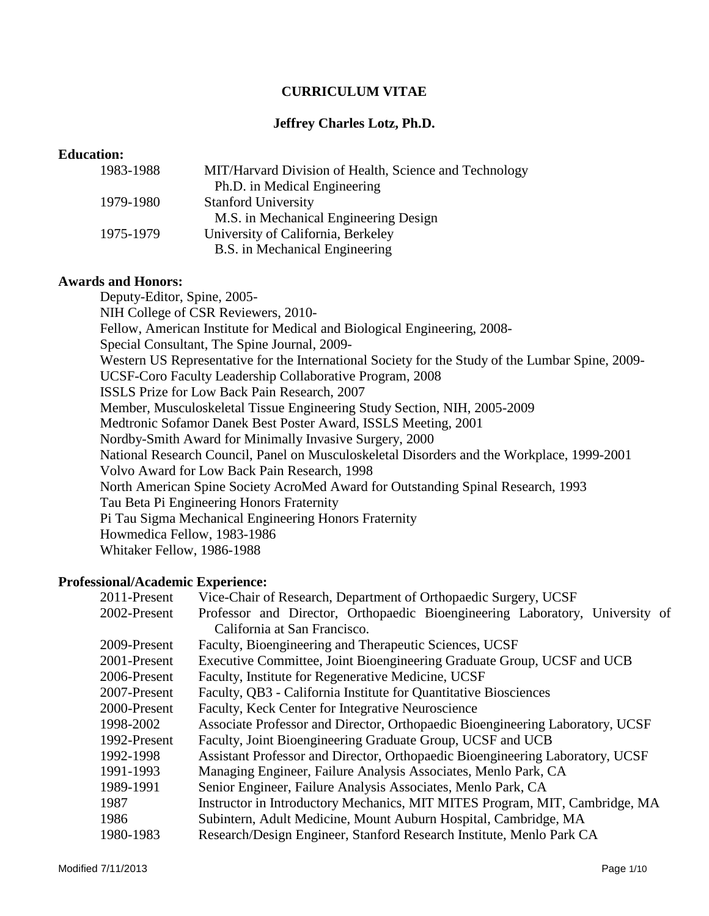# **CURRICULUM VITAE**

# **Jeffrey Charles Lotz, Ph.D.**

#### **Education:**

| 1983-1988 | MIT/Harvard Division of Health, Science and Technology |
|-----------|--------------------------------------------------------|
|           | Ph.D. in Medical Engineering                           |
| 1979-1980 | <b>Stanford University</b>                             |
|           | M.S. in Mechanical Engineering Design                  |
| 1975-1979 | University of California, Berkeley                     |
|           | B.S. in Mechanical Engineering                         |

### **Awards and Honors:**

Deputy-Editor, Spine, 2005- NIH College of CSR Reviewers, 2010- Fellow, American Institute for Medical and Biological Engineering, 2008- Special Consultant, The Spine Journal, 2009- Western US Representative for the International Society for the Study of the Lumbar Spine, 2009- UCSF-Coro Faculty Leadership Collaborative Program, 2008 ISSLS Prize for Low Back Pain Research, 2007 Member, Musculoskeletal Tissue Engineering Study Section, NIH, 2005-2009 Medtronic Sofamor Danek Best Poster Award, ISSLS Meeting, 2001 Nordby-Smith Award for Minimally Invasive Surgery, 2000 National Research Council, Panel on Musculoskeletal Disorders and the Workplace, 1999-2001 Volvo Award for Low Back Pain Research, 1998 North American Spine Society AcroMed Award for Outstanding Spinal Research, 1993 Tau Beta Pi Engineering Honors Fraternity Pi Tau Sigma Mechanical Engineering Honors Fraternity Howmedica Fellow, 1983-1986 Whitaker Fellow, 1986-1988

# **Professional/Academic Experience:**

| 2011-Present | Vice-Chair of Research, Department of Orthopaedic Surgery, UCSF               |
|--------------|-------------------------------------------------------------------------------|
| 2002-Present | Professor and Director, Orthopaedic Bioengineering Laboratory, University of  |
|              | California at San Francisco.                                                  |
| 2009-Present | Faculty, Bioengineering and Therapeutic Sciences, UCSF                        |
| 2001-Present | Executive Committee, Joint Bioengineering Graduate Group, UCSF and UCB        |
| 2006-Present | Faculty, Institute for Regenerative Medicine, UCSF                            |
| 2007-Present | Faculty, QB3 - California Institute for Quantitative Biosciences              |
| 2000-Present | Faculty, Keck Center for Integrative Neuroscience                             |
| 1998-2002    | Associate Professor and Director, Orthopaedic Bioengineering Laboratory, UCSF |
| 1992-Present | Faculty, Joint Bioengineering Graduate Group, UCSF and UCB                    |
| 1992-1998    | Assistant Professor and Director, Orthopaedic Bioengineering Laboratory, UCSF |
| 1991-1993    | Managing Engineer, Failure Analysis Associates, Menlo Park, CA                |
| 1989-1991    | Senior Engineer, Failure Analysis Associates, Menlo Park, CA                  |
| 1987         | Instructor in Introductory Mechanics, MIT MITES Program, MIT, Cambridge, MA   |
| 1986         | Subintern, Adult Medicine, Mount Auburn Hospital, Cambridge, MA               |
| 1980-1983    | Research/Design Engineer, Stanford Research Institute, Menlo Park CA          |
|              |                                                                               |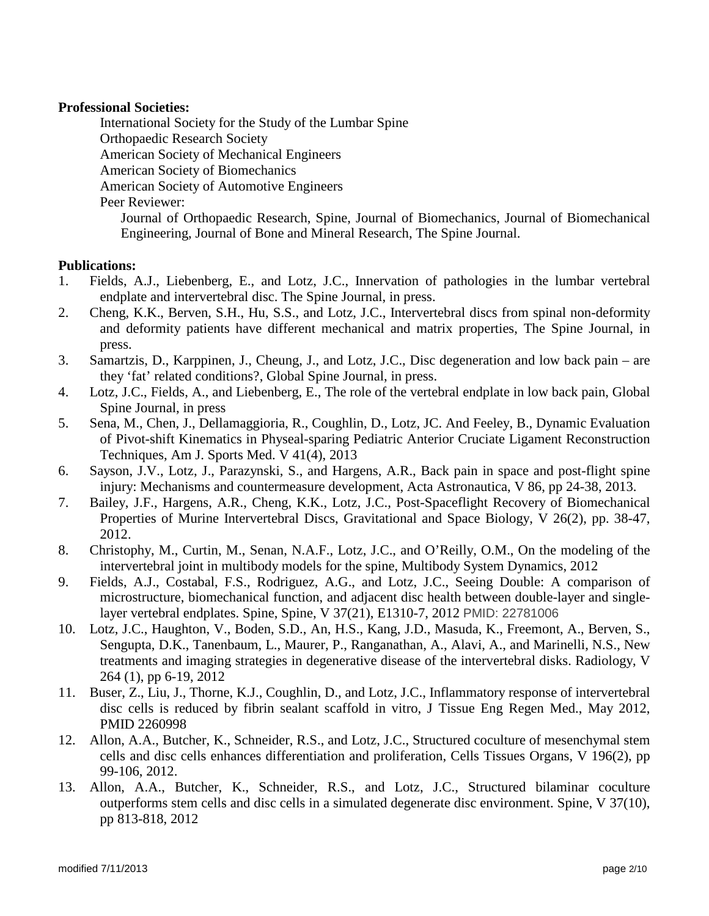### **Professional Societies:**

International Society for the Study of the Lumbar Spine Orthopaedic Research Society American Society of Mechanical Engineers American Society of Biomechanics American Society of Automotive Engineers Peer Reviewer: Journal of Orthopaedic Research, Spine, Journal of Biomechanics, Journal of Biomechanical Engineering, Journal of Bone and Mineral Research, The Spine Journal.

### **Publications:**

- 1. Fields, A.J., Liebenberg, E., and Lotz, J.C., Innervation of pathologies in the lumbar vertebral endplate and intervertebral disc. The Spine Journal, in press.
- 2. Cheng, K.K., Berven, S.H., Hu, S.S., and Lotz, J.C., Intervertebral discs from spinal non-deformity and deformity patients have different mechanical and matrix properties, The Spine Journal, in press.
- 3. Samartzis, D., Karppinen, J., Cheung, J., and Lotz, J.C., Disc degeneration and low back pain are they 'fat' related conditions?, Global Spine Journal, in press.
- 4. Lotz, J.C., Fields, A., and Liebenberg, E., The role of the vertebral endplate in low back pain, Global Spine Journal, in press
- 5. Sena, M., Chen, J., Dellamaggioria, R., Coughlin, D., Lotz, JC. And Feeley, B., Dynamic Evaluation of Pivot-shift Kinematics in Physeal-sparing Pediatric Anterior Cruciate Ligament Reconstruction Techniques, Am J. Sports Med. V 41(4), 2013
- 6. Sayson, J.V., Lotz, J., Parazynski, S., and Hargens, A.R., Back pain in space and post-flight spine injury: Mechanisms and countermeasure development, Acta Astronautica, V 86, pp 24-38, 2013.
- 7. Bailey, J.F., Hargens, A.R., Cheng, K.K., Lotz, J.C., Post-Spaceflight Recovery of Biomechanical Properties of Murine Intervertebral Discs, Gravitational and Space Biology, V 26(2), pp. 38-47, 2012.
- 8. Christophy, M., Curtin, M., Senan, N.A.F., Lotz, J.C., and O'Reilly, O.M., On the modeling of the intervertebral joint in multibody models for the spine, Multibody System Dynamics, 2012
- 9. Fields, A.J., Costabal, F.S., Rodriguez, A.G., and Lotz, J.C., Seeing Double: A comparison of microstructure, biomechanical function, and adjacent disc health between double-layer and singlelayer vertebral endplates. Spine, Spine, V 37(21), E1310-7, 2012 PMID: 22781006
- 10. Lotz, J.C., Haughton, V., Boden, S.D., An, H.S., Kang, J.D., Masuda, K., Freemont, A., Berven, S., Sengupta, D.K., Tanenbaum, L., Maurer, P., Ranganathan, A., Alavi, A., and Marinelli, N.S., New treatments and imaging strategies in degenerative disease of the intervertebral disks. Radiology, V 264 (1), pp 6-19, 2012
- 11. Buser, Z., Liu, J., Thorne, K.J., Coughlin, D., and Lotz, J.C., Inflammatory response of intervertebral disc cells is reduced by fibrin sealant scaffold in vitro, J Tissue Eng Regen Med., May 2012, PMID 2260998
- 12. Allon, A.A., Butcher, K., Schneider, R.S., and Lotz, J.C., Structured coculture of mesenchymal stem cells and disc cells enhances differentiation and proliferation, Cells Tissues Organs, V 196(2), pp 99-106, 2012.
- 13. Allon, A.A., Butcher, K., Schneider, R.S., and Lotz, J.C., Structured bilaminar coculture outperforms stem cells and disc cells in a simulated degenerate disc environment. Spine, V 37(10), pp 813-818, 2012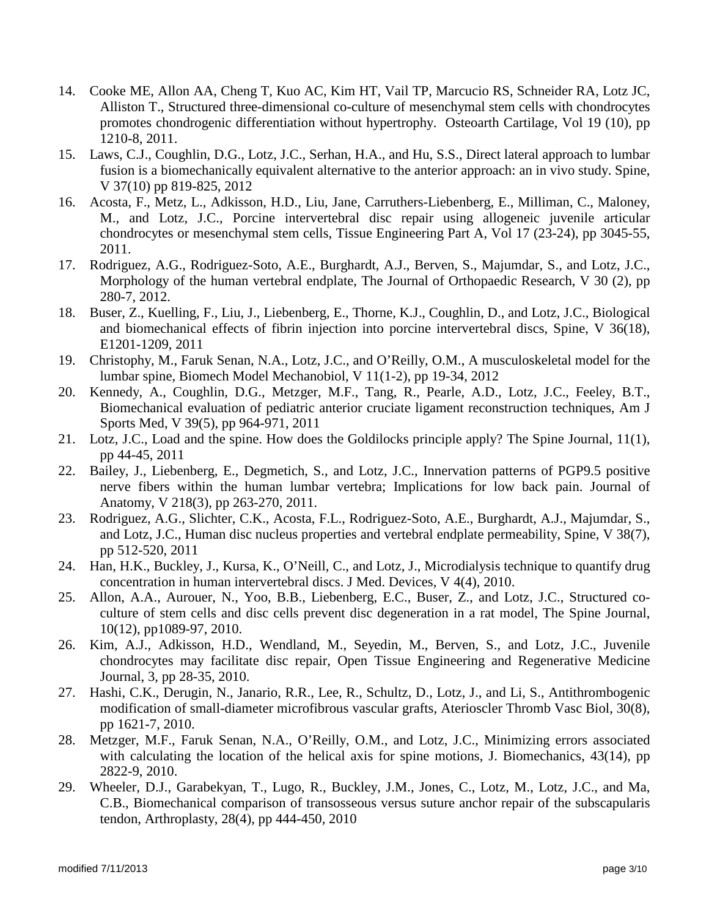- 14. Cooke ME, Allon AA, Cheng T, Kuo AC, Kim HT, Vail TP, Marcucio RS, Schneider RA, Lotz JC, Alliston T., Structured three-dimensional co-culture of mesenchymal stem cells with chondrocytes promotes chondrogenic differentiation without hypertrophy. Osteoarth Cartilage, Vol 19 (10), pp 1210-8, 2011.
- 15. Laws, C.J., Coughlin, D.G., Lotz, J.C., Serhan, H.A., and Hu, S.S., Direct lateral approach to lumbar fusion is a biomechanically equivalent alternative to the anterior approach: an in vivo study. Spine, V 37(10) pp 819-825, 2012
- 16. Acosta, F., Metz, L., Adkisson, H.D., Liu, Jane, Carruthers-Liebenberg, E., Milliman, C., Maloney, M., and Lotz, J.C., Porcine intervertebral disc repair using allogeneic juvenile articular chondrocytes or mesenchymal stem cells, Tissue Engineering Part A, Vol 17 (23-24), pp 3045-55, 2011.
- 17. Rodriguez, A.G., Rodriguez-Soto, A.E., Burghardt, A.J., Berven, S., Majumdar, S., and Lotz, J.C., Morphology of the human vertebral endplate, The Journal of Orthopaedic Research, V 30 (2), pp 280-7, 2012.
- 18. Buser, Z., Kuelling, F., Liu, J., Liebenberg, E., Thorne, K.J., Coughlin, D., and Lotz, J.C., Biological and biomechanical effects of fibrin injection into porcine intervertebral discs, Spine, V 36(18), E1201-1209, 2011
- 19. Christophy, M., Faruk Senan, N.A., Lotz, J.C., and O'Reilly, O.M., A musculoskeletal model for the lumbar spine, Biomech Model Mechanobiol, V 11(1-2), pp 19-34, 2012
- 20. Kennedy, A., Coughlin, D.G., Metzger, M.F., Tang, R., Pearle, A.D., Lotz, J.C., Feeley, B.T., Biomechanical evaluation of pediatric anterior cruciate ligament reconstruction techniques, Am J Sports Med, V 39(5), pp 964-971, 2011
- 21. Lotz, J.C., Load and the spine. How does the Goldilocks principle apply? The Spine Journal, 11(1), pp 44-45, 2011
- 22. Bailey, J., Liebenberg, E., Degmetich, S., and Lotz, J.C., Innervation patterns of PGP9.5 positive nerve fibers within the human lumbar vertebra; Implications for low back pain. Journal of Anatomy, V 218(3), pp 263-270, 2011.
- 23. Rodriguez, A.G., Slichter, C.K., Acosta, F.L., Rodriguez-Soto, A.E., Burghardt, A.J., Majumdar, S., and Lotz, J.C., Human disc nucleus properties and vertebral endplate permeability, Spine, V 38(7), pp 512-520, 2011
- 24. Han, H.K., Buckley, J., Kursa, K., O'Neill, C., and Lotz, J., Microdialysis technique to quantify drug concentration in human intervertebral discs. J Med. Devices, V 4(4), 2010.
- 25. Allon, A.A., Aurouer, N., Yoo, B.B., Liebenberg, E.C., Buser, Z., and Lotz, J.C., Structured coculture of stem cells and disc cells prevent disc degeneration in a rat model, The Spine Journal, 10(12), pp1089-97, 2010.
- 26. Kim, A.J., Adkisson, H.D., Wendland, M., Seyedin, M., Berven, S., and Lotz, J.C., Juvenile chondrocytes may facilitate disc repair, Open Tissue Engineering and Regenerative Medicine Journal, 3, pp 28-35, 2010.
- 27. Hashi, C.K., Derugin, N., Janario, R.R., Lee, R., Schultz, D., Lotz, J., and Li, S., Antithrombogenic modification of small-diameter microfibrous vascular grafts, Aterioscler Thromb Vasc Biol, 30(8), pp 1621-7, 2010.
- 28. Metzger, M.F., Faruk Senan, N.A., O'Reilly, O.M., and Lotz, J.C., Minimizing errors associated with calculating the location of the helical axis for spine motions, J. Biomechanics, 43(14), pp 2822-9, 2010.
- 29. Wheeler, D.J., Garabekyan, T., Lugo, R., Buckley, J.M., Jones, C., Lotz, M., Lotz, J.C., and Ma, C.B., Biomechanical comparison of transosseous versus suture anchor repair of the subscapularis tendon, Arthroplasty, 28(4), pp 444-450, 2010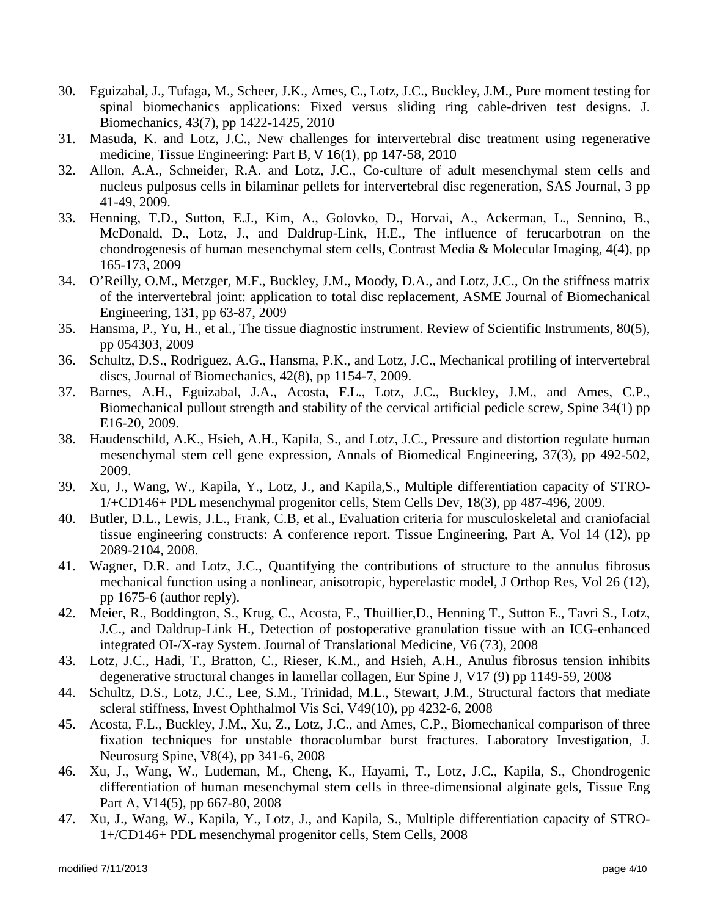- 30. Eguizabal, J., Tufaga, M., Scheer, J.K., Ames, C., Lotz, J.C., Buckley, J.M., Pure moment testing for spinal biomechanics applications: Fixed versus sliding ring cable-driven test designs. J. Biomechanics, 43(7), pp 1422-1425, 2010
- 31. Masuda, K. and Lotz, J.C., New challenges for intervertebral disc treatment using regenerative medicine, Tissue Engineering: Part B, V 16(1), pp 147-58, 2010
- 32. Allon, A.A., Schneider, R.A. and Lotz, J.C., Co-culture of adult mesenchymal stem cells and nucleus pulposus cells in bilaminar pellets for intervertebral disc regeneration, SAS Journal, 3 pp 41-49, 2009.
- 33. Henning, T.D., Sutton, E.J., Kim, A., Golovko, D., Horvai, A., Ackerman, L., Sennino, B., McDonald, D., Lotz, J., and Daldrup-Link, H.E., The influence of ferucarbotran on the chondrogenesis of human mesenchymal stem cells, Contrast Media & Molecular Imaging, 4(4), pp 165-173, 2009
- 34. O'Reilly, O.M., Metzger, M.F., Buckley, J.M., Moody, D.A., and Lotz, J.C., On the stiffness matrix of the intervertebral joint: application to total disc replacement, ASME Journal of Biomechanical Engineering, 131, pp 63-87, 2009
- 35. Hansma, P., Yu, H., et al., The tissue diagnostic instrument. Review of Scientific Instruments, 80(5), pp 054303, 2009
- 36. Schultz, D.S., Rodriguez, A.G., Hansma, P.K., and Lotz, J.C., Mechanical profiling of intervertebral discs, Journal of Biomechanics, 42(8), pp 1154-7, 2009.
- 37. Barnes, A.H., Eguizabal, J.A., Acosta, F.L., Lotz, J.C., Buckley, J.M., and Ames, C.P., Biomechanical pullout strength and stability of the cervical artificial pedicle screw, Spine 34(1) pp E16-20, 2009.
- 38. Haudenschild, A.K., Hsieh, A.H., Kapila, S., and Lotz, J.C., Pressure and distortion regulate human mesenchymal stem cell gene expression, Annals of Biomedical Engineering, 37(3), pp 492-502, 2009.
- 39. Xu, J., Wang, W., Kapila, Y., Lotz, J., and Kapila,S., Multiple differentiation capacity of STRO-1/+CD146+ PDL mesenchymal progenitor cells, Stem Cells Dev, 18(3), pp 487-496, 2009.
- 40. Butler, D.L., Lewis, J.L., Frank, C.B, et al., Evaluation criteria for musculoskeletal and craniofacial tissue engineering constructs: A conference report. Tissue Engineering, Part A, Vol 14 (12), pp 2089-2104, 2008.
- 41. Wagner, D.R. and Lotz, J.C., Quantifying the contributions of structure to the annulus fibrosus mechanical function using a nonlinear, anisotropic, hyperelastic model, J Orthop Res, Vol 26 (12), pp 1675-6 (author reply).
- 42. Meier, R., Boddington, S., Krug, C., Acosta, F., Thuillier,D., Henning T., Sutton E., Tavri S., Lotz, J.C., and Daldrup-Link H., Detection of postoperative granulation tissue with an ICG-enhanced integrated OI-/X-ray System. Journal of Translational Medicine, V6 (73), 2008
- 43. Lotz, J.C., Hadi, T., Bratton, C., Rieser, K.M., and Hsieh, A.H., Anulus fibrosus tension inhibits degenerative structural changes in lamellar collagen, Eur Spine J, V17 (9) pp 1149-59, 2008
- 44. Schultz, D.S., Lotz, J.C., Lee, S.M., Trinidad, M.L., Stewart, J.M., Structural factors that mediate scleral stiffness, Invest Ophthalmol Vis Sci, V49(10), pp 4232-6, 2008
- 45. Acosta, F.L., Buckley, J.M., Xu, Z., Lotz, J.C., and Ames, C.P., Biomechanical comparison of three fixation techniques for unstable thoracolumbar burst fractures. Laboratory Investigation, J. Neurosurg Spine, V8(4), pp 341-6, 2008
- 46. Xu, J., Wang, W., Ludeman, M., Cheng, K., Hayami, T., Lotz, J.C., Kapila, S., Chondrogenic differentiation of human mesenchymal stem cells in three-dimensional alginate gels, Tissue Eng Part A, V14(5), pp 667-80, 2008
- 47. Xu, J., Wang, W., Kapila, Y., Lotz, J., and Kapila, S., Multiple differentiation capacity of STRO-1+/CD146+ PDL mesenchymal progenitor cells, Stem Cells, 2008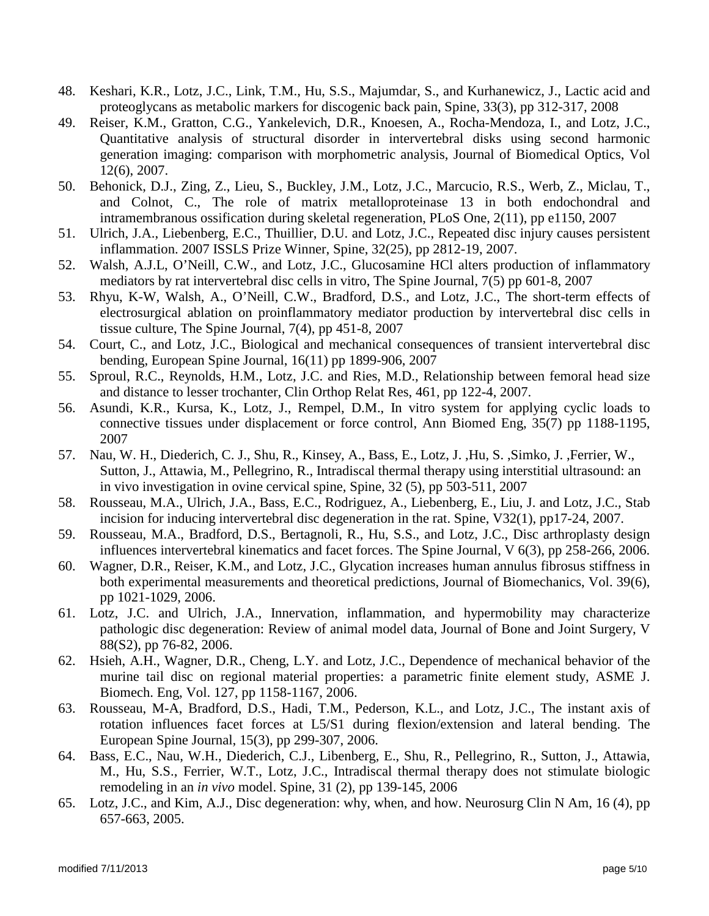- 48. Keshari, K.R., Lotz, J.C., Link, T.M., Hu, S.S., Majumdar, S., and Kurhanewicz, J., Lactic acid and proteoglycans as metabolic markers for discogenic back pain, Spine, 33(3), pp 312-317, 2008
- 49. Reiser, K.M., Gratton, C.G., Yankelevich, D.R., Knoesen, A., Rocha-Mendoza, I., and Lotz, J.C., Quantitative analysis of structural disorder in intervertebral disks using second harmonic generation imaging: comparison with morphometric analysis, Journal of Biomedical Optics, Vol 12(6), 2007.
- 50. Behonick, D.J., Zing, Z., Lieu, S., Buckley, J.M., Lotz, J.C., Marcucio, R.S., Werb, Z., Miclau, T., and Colnot, C., The role of matrix metalloproteinase 13 in both endochondral and intramembranous ossification during skeletal regeneration, PLoS One, 2(11), pp e1150, 2007
- 51. Ulrich, J.A., Liebenberg, E.C., Thuillier, D.U. and Lotz, J.C., Repeated disc injury causes persistent inflammation. 2007 ISSLS Prize Winner, Spine, 32(25), pp 2812-19, 2007.
- 52. Walsh, A.J.L, O'Neill, C.W., and Lotz, J.C., Glucosamine HCl alters production of inflammatory mediators by rat intervertebral disc cells in vitro, The Spine Journal, 7(5) pp 601-8, 2007
- 53. Rhyu, K-W, Walsh, A., O'Neill, C.W., Bradford, D.S., and Lotz, J.C., The short-term effects of electrosurgical ablation on proinflammatory mediator production by intervertebral disc cells in tissue culture, The Spine Journal, 7(4), pp 451-8, 2007
- 54. Court, C., and Lotz, J.C., Biological and mechanical consequences of transient intervertebral disc bending, European Spine Journal, 16(11) pp 1899-906, 2007
- 55. Sproul, R.C., Reynolds, H.M., Lotz, J.C. and Ries, M.D., Relationship between femoral head size and distance to lesser trochanter, Clin Orthop Relat Res, 461, pp 122-4, 2007.
- 56. Asundi, K.R., Kursa, K., Lotz, J., Rempel, D.M., In vitro system for applying cyclic loads to connective tissues under displacement or force control, Ann Biomed Eng, 35(7) pp 1188-1195, 2007
- 57. Nau, W. H., Diederich, C. J., Shu, R., Kinsey, A., Bass, E., Lotz, J. ,Hu, S. ,Simko, J. ,Ferrier, W., Sutton, J., Attawia, M., Pellegrino, R., Intradiscal thermal therapy using interstitial ultrasound: an in vivo investigation in ovine cervical spine, Spine, 32 (5), pp 503-511, 2007
- 58. Rousseau, M.A., Ulrich, J.A., Bass, E.C., Rodriguez, A., Liebenberg, E., Liu, J. and Lotz, J.C., Stab incision for inducing intervertebral disc degeneration in the rat. Spine, V32(1), pp17-24, 2007.
- 59. Rousseau, M.A., Bradford, D.S., Bertagnoli, R., Hu, S.S., and Lotz, J.C., Disc arthroplasty design influences intervertebral kinematics and facet forces. The Spine Journal, V 6(3), pp 258-266, 2006.
- 60. Wagner, D.R., Reiser, K.M., and Lotz, J.C., Glycation increases human annulus fibrosus stiffness in both experimental measurements and theoretical predictions, Journal of Biomechanics, Vol. 39(6), pp 1021-1029, 2006.
- 61. Lotz, J.C. and Ulrich, J.A., Innervation, inflammation, and hypermobility may characterize pathologic disc degeneration: Review of animal model data, Journal of Bone and Joint Surgery, V 88(S2), pp 76-82, 2006.
- 62. Hsieh, A.H., Wagner, D.R., Cheng, L.Y. and Lotz, J.C., Dependence of mechanical behavior of the murine tail disc on regional material properties: a parametric finite element study, ASME J. Biomech. Eng, Vol. 127, pp 1158-1167, 2006.
- 63. Rousseau, M-A, Bradford, D.S., Hadi, T.M., Pederson, K.L., and Lotz, J.C., The instant axis of rotation influences facet forces at L5/S1 during flexion/extension and lateral bending. The European Spine Journal, 15(3), pp 299-307, 2006.
- 64. Bass, E.C., Nau, W.H., Diederich, C.J., Libenberg, E., Shu, R., Pellegrino, R., Sutton, J., Attawia, M., Hu, S.S., Ferrier, W.T., Lotz, J.C., Intradiscal thermal therapy does not stimulate biologic remodeling in an *in vivo* model. Spine, 31 (2), pp 139-145, 2006
- 65. Lotz, J.C., and Kim, A.J., Disc degeneration: why, when, and how. Neurosurg Clin N Am, 16 (4), pp 657-663, 2005.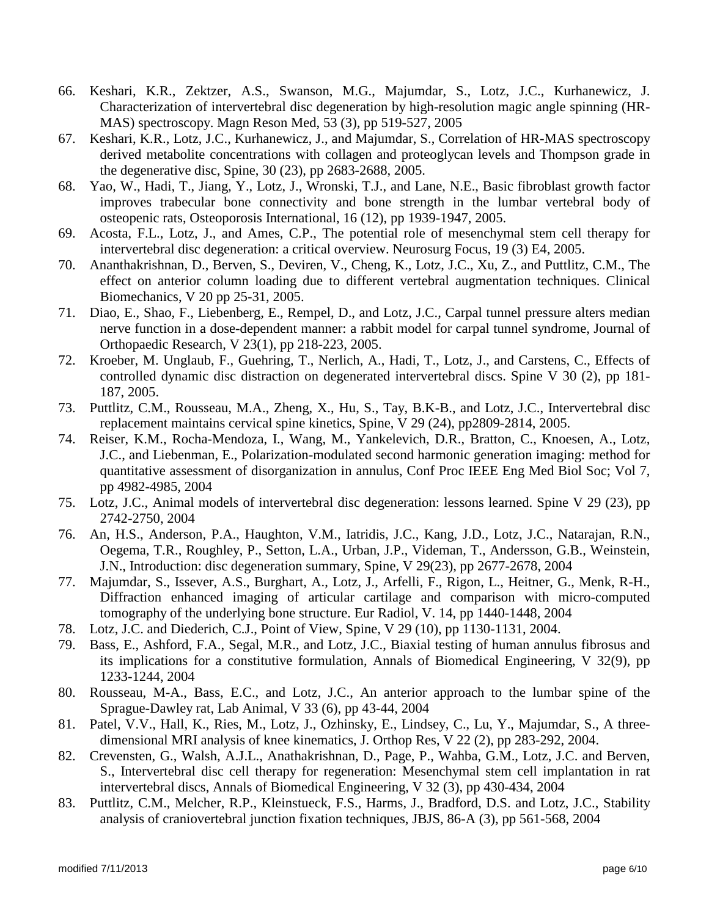- 66. Keshari, K.R., Zektzer, A.S., Swanson, M.G., Majumdar, S., Lotz, J.C., Kurhanewicz, J. Characterization of intervertebral disc degeneration by high-resolution magic angle spinning (HR-MAS) spectroscopy. Magn Reson Med, 53 (3), pp 519-527, 2005
- 67. Keshari, K.R., Lotz, J.C., Kurhanewicz, J., and Majumdar, S., Correlation of HR-MAS spectroscopy derived metabolite concentrations with collagen and proteoglycan levels and Thompson grade in the degenerative disc, Spine, 30 (23), pp 2683-2688, 2005.
- 68. Yao, W., Hadi, T., Jiang, Y., Lotz, J., Wronski, T.J., and Lane, N.E., Basic fibroblast growth factor improves trabecular bone connectivity and bone strength in the lumbar vertebral body of osteopenic rats, Osteoporosis International, 16 (12), pp 1939-1947, 2005.
- 69. Acosta, F.L., Lotz, J., and Ames, C.P., The potential role of mesenchymal stem cell therapy for intervertebral disc degeneration: a critical overview. Neurosurg Focus, 19 (3) E4, 2005.
- 70. Ananthakrishnan, D., Berven, S., Deviren, V., Cheng, K., Lotz, J.C., Xu, Z., and Puttlitz, C.M., The effect on anterior column loading due to different vertebral augmentation techniques. Clinical Biomechanics, V 20 pp 25-31, 2005.
- 71. Diao, E., Shao, F., Liebenberg, E., Rempel, D., and Lotz, J.C., Carpal tunnel pressure alters median nerve function in a dose-dependent manner: a rabbit model for carpal tunnel syndrome, Journal of Orthopaedic Research, V 23(1), pp 218-223, 2005.
- 72. Kroeber, M. Unglaub, F., Guehring, T., Nerlich, A., Hadi, T., Lotz, J., and Carstens, C., Effects of controlled dynamic disc distraction on degenerated intervertebral discs. Spine V 30 (2), pp 181- 187, 2005.
- 73. Puttlitz, C.M., Rousseau, M.A., Zheng, X., Hu, S., Tay, B.K-B., and Lotz, J.C., Intervertebral disc replacement maintains cervical spine kinetics, Spine, V 29 (24), pp2809-2814, 2005.
- 74. Reiser, K.M., Rocha-Mendoza, I., Wang, M., Yankelevich, D.R., Bratton, C., Knoesen, A., Lotz, J.C., and Liebenman, E., Polarization-modulated second harmonic generation imaging: method for quantitative assessment of disorganization in annulus, Conf Proc IEEE Eng Med Biol Soc; Vol 7, pp 4982-4985, 2004
- 75. Lotz, J.C., Animal models of intervertebral disc degeneration: lessons learned. Spine V 29 (23), pp 2742-2750, 2004
- 76. An, H.S., Anderson, P.A., Haughton, V.M., Iatridis, J.C., Kang, J.D., Lotz, J.C., Natarajan, R.N., Oegema, T.R., Roughley, P., Setton, L.A., Urban, J.P., Videman, T., Andersson, G.B., Weinstein, J.N., Introduction: disc degeneration summary, Spine, V 29(23), pp 2677-2678, 2004
- 77. Majumdar, S., Issever, A.S., Burghart, A., Lotz, J., Arfelli, F., Rigon, L., Heitner, G., Menk, R-H., Diffraction enhanced imaging of articular cartilage and comparison with micro-computed tomography of the underlying bone structure. Eur Radiol, V. 14, pp 1440-1448, 2004
- 78. Lotz, J.C. and Diederich, C.J., Point of View, Spine, V 29 (10), pp 1130-1131, 2004.
- 79. Bass, E., Ashford, F.A., Segal, M.R., and Lotz, J.C., Biaxial testing of human annulus fibrosus and its implications for a constitutive formulation, Annals of Biomedical Engineering, V 32(9), pp 1233-1244, 2004
- 80. Rousseau, M-A., Bass, E.C., and Lotz, J.C., An anterior approach to the lumbar spine of the Sprague-Dawley rat, Lab Animal, V 33 (6), pp 43-44, 2004
- 81. Patel, V.V., Hall, K., Ries, M., Lotz, J., Ozhinsky, E., Lindsey, C., Lu, Y., Majumdar, S., A threedimensional MRI analysis of knee kinematics, J. Orthop Res, V 22 (2), pp 283-292, 2004.
- 82. Crevensten, G., Walsh, A.J.L., Anathakrishnan, D., Page, P., Wahba, G.M., Lotz, J.C. and Berven, S., Intervertebral disc cell therapy for regeneration: Mesenchymal stem cell implantation in rat intervertebral discs, Annals of Biomedical Engineering, V 32 (3), pp 430-434, 2004
- 83. Puttlitz, C.M., Melcher, R.P., Kleinstueck, F.S., Harms, J., Bradford, D.S. and Lotz, J.C., Stability analysis of craniovertebral junction fixation techniques, JBJS, 86-A (3), pp 561-568, 2004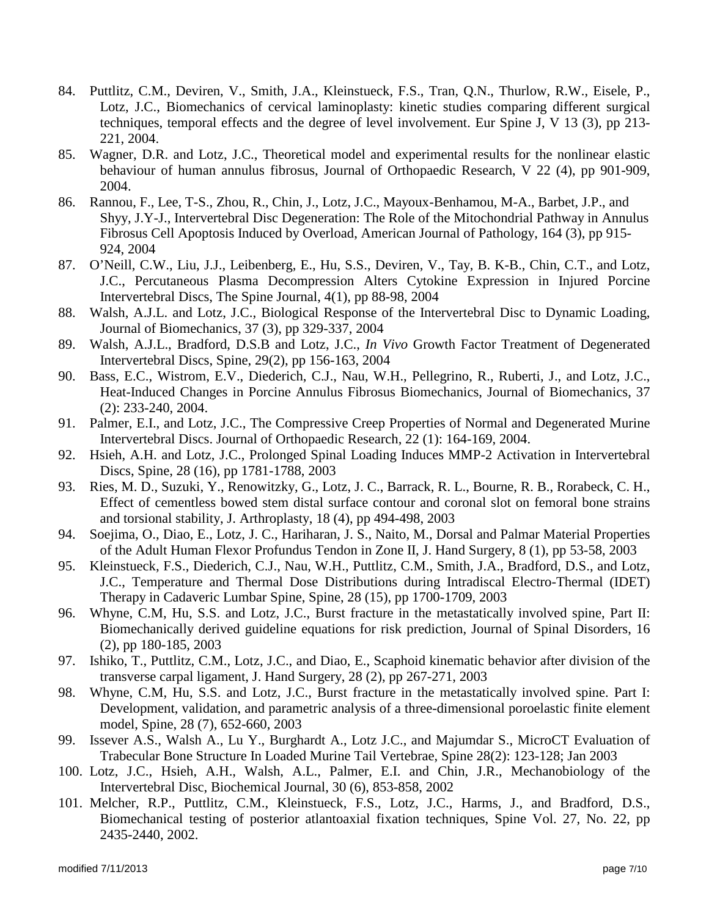- 84. Puttlitz, C.M., Deviren, V., Smith, J.A., Kleinstueck, F.S., Tran, Q.N., Thurlow, R.W., Eisele, P., Lotz, J.C., Biomechanics of cervical laminoplasty: kinetic studies comparing different surgical techniques, temporal effects and the degree of level involvement. Eur Spine J, V 13 (3), pp 213- 221, 2004.
- 85. Wagner, D.R. and Lotz, J.C., Theoretical model and experimental results for the nonlinear elastic behaviour of human annulus fibrosus, Journal of Orthopaedic Research, V 22 (4), pp 901-909, 2004.
- 86. Rannou, F., Lee, T-S., Zhou, R., Chin, J., Lotz, J.C., Mayoux-Benhamou, M-A., Barbet, J.P., and Shyy, J.Y-J., Intervertebral Disc Degeneration: The Role of the Mitochondrial Pathway in Annulus Fibrosus Cell Apoptosis Induced by Overload, American Journal of Pathology, 164 (3), pp 915- 924, 2004
- 87. O'Neill, C.W., Liu, J.J., Leibenberg, E., Hu, S.S., Deviren, V., Tay, B. K-B., Chin, C.T., and Lotz, J.C., Percutaneous Plasma Decompression Alters Cytokine Expression in Injured Porcine Intervertebral Discs, The Spine Journal, 4(1), pp 88-98, 2004
- 88. Walsh, A.J.L. and Lotz, J.C., Biological Response of the Intervertebral Disc to Dynamic Loading, Journal of Biomechanics, 37 (3), pp 329-337, 2004
- 89. Walsh, A.J.L., Bradford, D.S.B and Lotz, J.C., *In Vivo* Growth Factor Treatment of Degenerated Intervertebral Discs, Spine, 29(2), pp 156-163, 2004
- 90. Bass, E.C., Wistrom, E.V., Diederich, C.J., Nau, W.H., Pellegrino, R., Ruberti, J., and Lotz, J.C., Heat-Induced Changes in Porcine Annulus Fibrosus Biomechanics, Journal of Biomechanics, 37 (2): 233-240, 2004.
- 91. Palmer, E.I., and Lotz, J.C., The Compressive Creep Properties of Normal and Degenerated Murine Intervertebral Discs. Journal of Orthopaedic Research, 22 (1): 164-169, 2004.
- 92. Hsieh, A.H. and Lotz, J.C., Prolonged Spinal Loading Induces MMP-2 Activation in Intervertebral Discs, Spine, 28 (16), pp 1781-1788, 2003
- 93. Ries, M. D., Suzuki, Y., Renowitzky, G., Lotz, J. C., Barrack, R. L., Bourne, R. B., Rorabeck, C. H., Effect of cementless bowed stem distal surface contour and coronal slot on femoral bone strains and torsional stability, J. Arthroplasty, 18 (4), pp 494-498, 2003
- 94. Soejima, O., Diao, E., Lotz, J. C., Hariharan, J. S., Naito, M., Dorsal and Palmar Material Properties of the Adult Human Flexor Profundus Tendon in Zone II, J. Hand Surgery, 8 (1), pp 53-58, 2003
- 95. Kleinstueck, F.S., Diederich, C.J., Nau, W.H., Puttlitz, C.M., Smith, J.A., Bradford, D.S., and Lotz, J.C., Temperature and Thermal Dose Distributions during Intradiscal Electro-Thermal (IDET) Therapy in Cadaveric Lumbar Spine, Spine, 28 (15), pp 1700-1709, 2003
- 96. Whyne, C.M, Hu, S.S. and Lotz, J.C., Burst fracture in the metastatically involved spine, Part II: Biomechanically derived guideline equations for risk prediction, Journal of Spinal Disorders, 16 (2), pp 180-185, 2003
- 97. Ishiko, T., Puttlitz, C.M., Lotz, J.C., and Diao, E., Scaphoid kinematic behavior after division of the transverse carpal ligament, J. Hand Surgery, 28 (2), pp 267-271, 2003
- 98. Whyne, C.M, Hu, S.S. and Lotz, J.C., Burst fracture in the metastatically involved spine. Part I: Development, validation, and parametric analysis of a three-dimensional poroelastic finite element model, Spine, 28 (7), 652-660, 2003
- 99. Issever A.S., Walsh A., Lu Y., Burghardt A., Lotz J.C., and Majumdar S., MicroCT Evaluation of Trabecular Bone Structure In Loaded Murine Tail Vertebrae, Spine 28(2): 123-128; Jan 2003
- 100. Lotz, J.C., Hsieh, A.H., Walsh, A.L., Palmer, E.I. and Chin, J.R., Mechanobiology of the Intervertebral Disc, Biochemical Journal, 30 (6), 853-858, 2002
- 101. Melcher, R.P., Puttlitz, C.M., Kleinstueck, F.S., Lotz, J.C., Harms, J., and Bradford, D.S., Biomechanical testing of posterior atlantoaxial fixation techniques, Spine Vol. 27, No. 22, pp 2435-2440, 2002.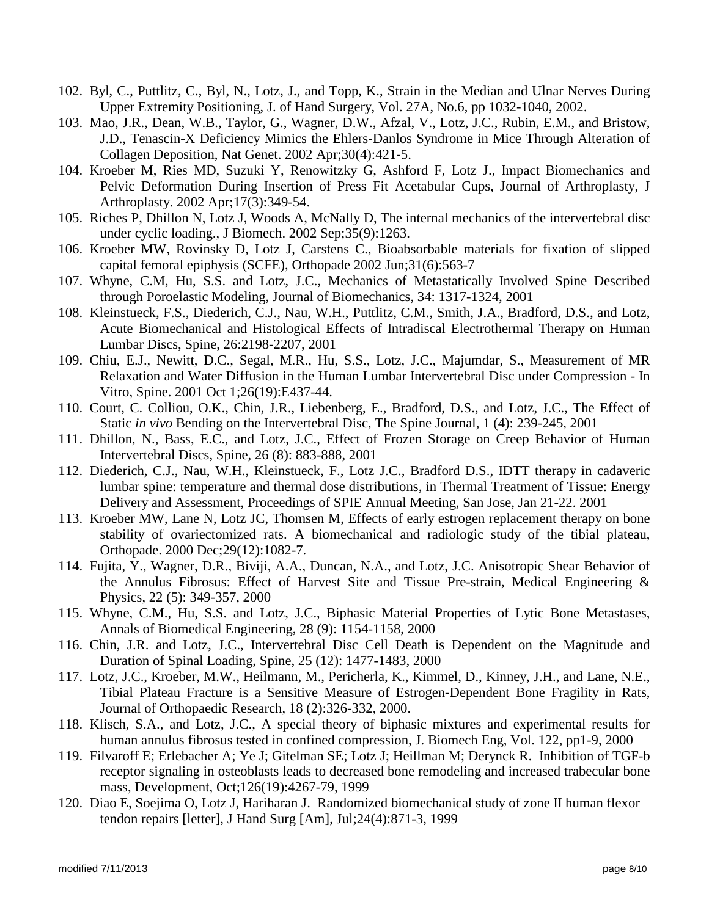- 102. Byl, C., Puttlitz, C., Byl, N., Lotz, J., and Topp, K., Strain in the Median and Ulnar Nerves During Upper Extremity Positioning, J. of Hand Surgery, Vol. 27A, No.6, pp 1032-1040, 2002.
- 103. Mao, J.R., Dean, W.B., Taylor, G., Wagner, D.W., Afzal, V., Lotz, J.C., Rubin, E.M., and Bristow, J.D., Tenascin-X Deficiency Mimics the Ehlers-Danlos Syndrome in Mice Through Alteration of Collagen Deposition, Nat Genet. 2002 Apr;30(4):421-5.
- 104. Kroeber M, Ries MD, Suzuki Y, Renowitzky G, Ashford F, Lotz J., Impact Biomechanics and Pelvic Deformation During Insertion of Press Fit Acetabular Cups, Journal of Arthroplasty, J Arthroplasty. 2002 Apr;17(3):349-54.
- 105. Riches P, Dhillon N, Lotz J, Woods A, McNally D, The internal mechanics of the intervertebral disc under cyclic loading., J Biomech. 2002 Sep;35(9):1263.
- 106. Kroeber MW, Rovinsky D, Lotz J, Carstens C., Bioabsorbable materials for fixation of slipped capital femoral epiphysis (SCFE), Orthopade 2002 Jun;31(6):563-7
- 107. Whyne, C.M, Hu, S.S. and Lotz, J.C., Mechanics of Metastatically Involved Spine Described through Poroelastic Modeling, Journal of Biomechanics, 34: 1317-1324, 2001
- 108. Kleinstueck, F.S., Diederich, C.J., Nau, W.H., Puttlitz, C.M., Smith, J.A., Bradford, D.S., and Lotz, Acute Biomechanical and Histological Effects of Intradiscal Electrothermal Therapy on Human Lumbar Discs, Spine, 26:2198-2207, 2001
- 109. Chiu, E.J., Newitt, D.C., Segal, M.R., Hu, S.S., Lotz, J.C., Majumdar, S., Measurement of MR Relaxation and Water Diffusion in the Human Lumbar Intervertebral Disc under Compression - In Vitro, Spine. 2001 Oct 1;26(19):E437-44.
- 110. Court, C. Colliou, O.K., Chin, J.R., Liebenberg, E., Bradford, D.S., and Lotz, J.C., The Effect of Static *in vivo* Bending on the Intervertebral Disc, The Spine Journal, 1 (4): 239-245, 2001
- 111. Dhillon, N., Bass, E.C., and Lotz, J.C., Effect of Frozen Storage on Creep Behavior of Human Intervertebral Discs, Spine, 26 (8): 883-888, 2001
- 112. Diederich, C.J., Nau, W.H., Kleinstueck, F., Lotz J.C., Bradford D.S., IDTT therapy in cadaveric lumbar spine: temperature and thermal dose distributions, in Thermal Treatment of Tissue: Energy Delivery and Assessment, Proceedings of SPIE Annual Meeting, San Jose, Jan 21-22. 2001
- 113. Kroeber MW, Lane N, Lotz JC, Thomsen M, Effects of early estrogen replacement therapy on bone stability of ovariectomized rats. A biomechanical and radiologic study of the tibial plateau, Orthopade. 2000 Dec;29(12):1082-7.
- 114. Fujita, Y., Wagner, D.R., Biviji, A.A., Duncan, N.A., and Lotz, J.C. Anisotropic Shear Behavior of the Annulus Fibrosus: Effect of Harvest Site and Tissue Pre-strain, Medical Engineering & Physics, 22 (5): 349-357, 2000
- 115. Whyne, C.M., Hu, S.S. and Lotz, J.C., Biphasic Material Properties of Lytic Bone Metastases, Annals of Biomedical Engineering, 28 (9): 1154-1158, 2000
- 116. Chin, J.R. and Lotz, J.C., Intervertebral Disc Cell Death is Dependent on the Magnitude and Duration of Spinal Loading, Spine, 25 (12): 1477-1483, 2000
- 117. Lotz, J.C., Kroeber, M.W., Heilmann, M., Pericherla, K., Kimmel, D., Kinney, J.H., and Lane, N.E., Tibial Plateau Fracture is a Sensitive Measure of Estrogen-Dependent Bone Fragility in Rats, Journal of Orthopaedic Research, 18 (2):326-332, 2000.
- 118. Klisch, S.A., and Lotz, J.C., A special theory of biphasic mixtures and experimental results for human annulus fibrosus tested in confined compression, J. Biomech Eng, Vol. 122, pp1-9, 2000
- 119. Filvaroff E; Erlebacher A; Ye J; Gitelman SE; Lotz J; Heillman M; Derynck R. Inhibition of TGF-b receptor signaling in osteoblasts leads to decreased bone remodeling and increased trabecular bone mass, Development, Oct;126(19):4267-79, 1999
- 120. Diao E, Soejima O, Lotz J, Hariharan J. Randomized biomechanical study of zone II human flexor tendon repairs [letter], J Hand Surg [Am], Jul;24(4):871-3, 1999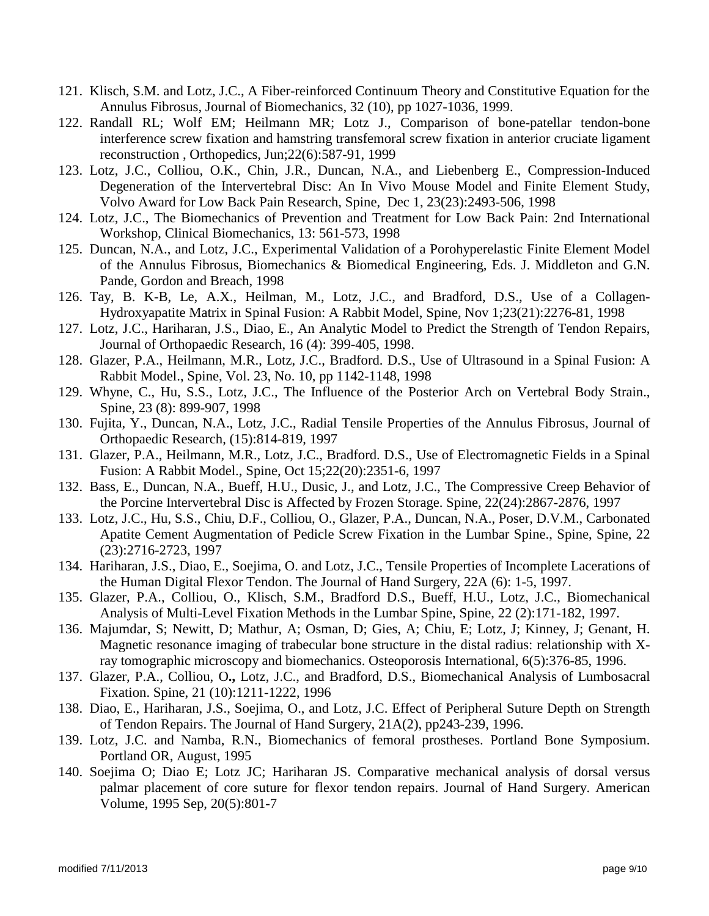- 121. Klisch, S.M. and Lotz, J.C., A Fiber-reinforced Continuum Theory and Constitutive Equation for the Annulus Fibrosus, Journal of Biomechanics, 32 (10), pp 1027-1036, 1999.
- 122. Randall RL; Wolf EM; Heilmann MR; Lotz J., Comparison of bone-patellar tendon-bone interference screw fixation and hamstring transfemoral screw fixation in anterior cruciate ligament reconstruction , Orthopedics, Jun;22(6):587-91, 1999
- 123. Lotz, J.C., Colliou, O.K., Chin, J.R., Duncan, N.A., and Liebenberg E., Compression-Induced Degeneration of the Intervertebral Disc: An In Vivo Mouse Model and Finite Element Study, Volvo Award for Low Back Pain Research, Spine, Dec 1, 23(23):2493-506, 1998
- 124. Lotz, J.C., The Biomechanics of Prevention and Treatment for Low Back Pain: 2nd International Workshop, Clinical Biomechanics, 13: 561-573, 1998
- 125. Duncan, N.A., and Lotz, J.C., Experimental Validation of a Porohyperelastic Finite Element Model of the Annulus Fibrosus, Biomechanics & Biomedical Engineering, Eds. J. Middleton and G.N. Pande, Gordon and Breach, 1998
- 126. Tay, B. K-B, Le, A.X., Heilman, M., Lotz, J.C., and Bradford, D.S., Use of a Collagen-Hydroxyapatite Matrix in Spinal Fusion: A Rabbit Model, Spine, Nov 1;23(21):2276-81, 1998
- 127. Lotz, J.C., Hariharan, J.S., Diao, E., An Analytic Model to Predict the Strength of Tendon Repairs, Journal of Orthopaedic Research, 16 (4): 399-405, 1998.
- 128. Glazer, P.A., Heilmann, M.R., Lotz, J.C., Bradford. D.S., Use of Ultrasound in a Spinal Fusion: A Rabbit Model., Spine, Vol. 23, No. 10, pp 1142-1148, 1998
- 129. Whyne, C., Hu, S.S., Lotz, J.C., The Influence of the Posterior Arch on Vertebral Body Strain., Spine, 23 (8): 899-907, 1998
- 130. Fujita, Y., Duncan, N.A., Lotz, J.C., Radial Tensile Properties of the Annulus Fibrosus, Journal of Orthopaedic Research, (15):814-819, 1997
- 131. Glazer, P.A., Heilmann, M.R., Lotz, J.C., Bradford. D.S., Use of Electromagnetic Fields in a Spinal Fusion: A Rabbit Model., Spine, Oct 15;22(20):2351-6, 1997
- 132. Bass, E., Duncan, N.A., Bueff, H.U., Dusic, J., and Lotz, J.C., The Compressive Creep Behavior of the Porcine Intervertebral Disc is Affected by Frozen Storage. Spine, 22(24):2867-2876, 1997
- 133. Lotz, J.C., Hu, S.S., Chiu, D.F., Colliou, O., Glazer, P.A., Duncan, N.A., Poser, D.V.M., Carbonated Apatite Cement Augmentation of Pedicle Screw Fixation in the Lumbar Spine., Spine, Spine, 22 (23):2716-2723, 1997
- 134. Hariharan, J.S., Diao, E., Soejima, O. and Lotz, J.C., Tensile Properties of Incomplete Lacerations of the Human Digital Flexor Tendon. The Journal of Hand Surgery, 22A (6): 1-5, 1997.
- 135. Glazer, P.A., Colliou, O., Klisch, S.M., Bradford D.S., Bueff, H.U., Lotz, J.C., Biomechanical Analysis of Multi-Level Fixation Methods in the Lumbar Spine, Spine, 22 (2):171-182, 1997.
- 136. Majumdar, S; Newitt, D; Mathur, A; Osman, D; Gies, A; Chiu, E; Lotz, J; Kinney, J; Genant, H. Magnetic resonance imaging of trabecular bone structure in the distal radius: relationship with Xray tomographic microscopy and biomechanics. Osteoporosis International, 6(5):376-85, 1996.
- 137. Glazer, P.A., Colliou, O**.,** Lotz, J.C., and Bradford, D.S., Biomechanical Analysis of Lumbosacral Fixation. Spine, 21 (10):1211-1222, 1996
- 138. Diao, E., Hariharan, J.S., Soejima, O., and Lotz, J.C. Effect of Peripheral Suture Depth on Strength of Tendon Repairs. The Journal of Hand Surgery, 21A(2), pp243-239, 1996.
- 139. Lotz, J.C. and Namba, R.N., Biomechanics of femoral prostheses. Portland Bone Symposium. Portland OR, August, 1995
- 140. Soejima O; Diao E; Lotz JC; Hariharan JS. Comparative mechanical analysis of dorsal versus palmar placement of core suture for flexor tendon repairs. Journal of Hand Surgery. American Volume, 1995 Sep, 20(5):801-7